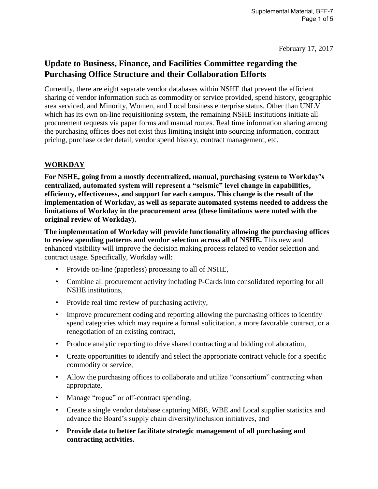February 17, 2017

# **Update to Business, Finance, and Facilities Committee regarding the Purchasing Office Structure and their Collaboration Efforts**

Currently, there are eight separate vendor databases within NSHE that prevent the efficient sharing of vendor information such as commodity or service provided, spend history, geographic area serviced, and Minority, Women, and Local business enterprise status. Other than UNLV which has its own on-line requisitioning system, the remaining NSHE institutions initiate all procurement requests via paper forms and manual routes. Real time information sharing among the purchasing offices does not exist thus limiting insight into sourcing information, contract pricing, purchase order detail, vendor spend history, contract management, etc.

## **WORKDAY**

**For NSHE, going from a mostly decentralized, manual, purchasing system to Workday's centralized, automated system will represent a "seismic" level change in capabilities, efficiency, effectiveness, and support for each campus. This change is the result of the implementation of Workday, as well as separate automated systems needed to address the limitations of Workday in the procurement area (these limitations were noted with the original review of Workday).**

**The implementation of Workday will provide functionality allowing the purchasing offices to review spending patterns and vendor selection across all of NSHE.** This new and enhanced visibility will improve the decision making process related to vendor selection and contract usage. Specifically, Workday will:

- Provide on-line (paperless) processing to all of NSHE,
- Combine all procurement activity including P-Cards into consolidated reporting for all NSHE institutions,
- Provide real time review of purchasing activity,
- Improve procurement coding and reporting allowing the purchasing offices to identify spend categories which may require a formal solicitation, a more favorable contract, or a renegotiation of an existing contract,
- Produce analytic reporting to drive shared contracting and bidding collaboration,
- Create opportunities to identify and select the appropriate contract vehicle for a specific commodity or service,
- Allow the purchasing offices to collaborate and utilize "consortium" contracting when appropriate,
- Manage "rogue" or off-contract spending,
- Create a single vendor database capturing MBE, WBE and Local supplier statistics and advance the Board's supply chain diversity/inclusion initiatives, and
- **Provide data to better facilitate strategic management of all purchasing and contracting activities.**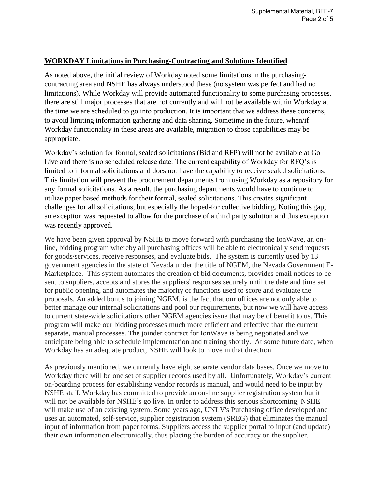#### **WORKDAY Limitations in Purchasing-Contracting and Solutions Identified**

As noted above, the initial review of Workday noted some limitations in the purchasingcontracting area and NSHE has always understood these (no system was perfect and had no limitations). While Workday will provide automated functionality to some purchasing processes, there are still major processes that are not currently and will not be available within Workday at the time we are scheduled to go into production. It is important that we address these concerns, to avoid limiting information gathering and data sharing. Sometime in the future, when/if Workday functionality in these areas are available, migration to those capabilities may be appropriate.

Workday's solution for formal, sealed solicitations (Bid and RFP) will not be available at Go Live and there is no scheduled release date. The current capability of Workday for RFQ's is limited to informal solicitations and does not have the capability to receive sealed solicitations. This limitation will prevent the procurement departments from using Workday as a repository for any formal solicitations. As a result, the purchasing departments would have to continue to utilize paper based methods for their formal, sealed solicitations. This creates significant challenges for all solicitations, but especially the hoped-for collective bidding. Noting this gap, an exception was requested to allow for the purchase of a third party solution and this exception was recently approved.

We have been given approval by NSHE to move forward with purchasing the IonWave, an online, bidding program whereby all purchasing offices will be able to electronically send requests for goods/services, receive responses, and evaluate bids. The system is currently used by 13 government agencies in the state of Nevada under the title of NGEM, the Nevada Government E-Marketplace. This system automates the creation of bid documents, provides email notices to be sent to suppliers, accepts and stores the suppliers' responses securely until the date and time set for public opening, and automates the majority of functions used to score and evaluate the proposals. An added bonus to joining NGEM, is the fact that our offices are not only able to better manage our internal solicitations and pool our requirements, but now we will have access to current state-wide solicitations other NGEM agencies issue that may be of benefit to us. This program will make our bidding processes much more efficient and effective than the current separate, manual processes. The joinder contract for IonWave is being negotiated and we anticipate being able to schedule implementation and training shortly. At some future date, when Workday has an adequate product, NSHE will look to move in that direction.

As previously mentioned, we currently have eight separate vendor data bases. Once we move to Workday there will be one set of supplier records used by all. Unfortunately, Workday's current on-boarding process for establishing vendor records is manual, and would need to be input by NSHE staff. Workday has committed to provide an on-line supplier registration system but it will not be available for NSHE's go live. In order to address this serious shortcoming, NSHE will make use of an existing system. Some years ago, UNLV's Purchasing office developed and uses an automated, self-service, supplier registration system (SREG) that eliminates the manual input of information from paper forms. Suppliers access the supplier portal to input (and update) their own information electronically, thus placing the burden of accuracy on the supplier.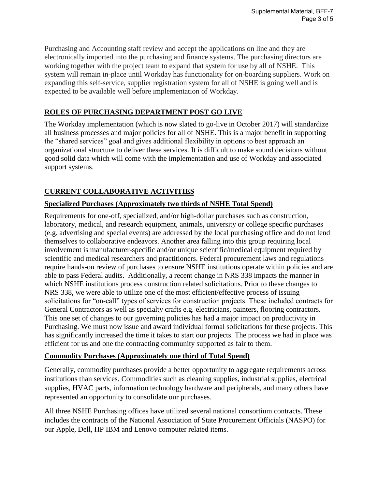Purchasing and Accounting staff review and accept the applications on line and they are electronically imported into the purchasing and finance systems. The purchasing directors are working together with the project team to expand that system for use by all of NSHE. This system will remain in-place until Workday has functionality for on-boarding suppliers. Work on expanding this self-service, supplier registration system for all of NSHE is going well and is expected to be available well before implementation of Workday.

#### **ROLES OF PURCHASING DEPARTMENT POST GO LIVE**

The Workday implementation (which is now slated to go-live in October 2017) will standardize all business processes and major policies for all of NSHE. This is a major benefit in supporting the "shared services" goal and gives additional flexibility in options to best approach an organizational structure to deliver these services. It is difficult to make sound decisions without good solid data which will come with the implementation and use of Workday and associated support systems.

## **CURRENT COLLABORATIVE ACTIVITIES**

### **Specialized Purchases (Approximately two thirds of NSHE Total Spend)**

Requirements for one-off, specialized, and/or high-dollar purchases such as construction, laboratory, medical, and research equipment, animals, university or college specific purchases (e.g. advertising and special events) are addressed by the local purchasing office and do not lend themselves to collaborative endeavors. Another area falling into this group requiring local involvement is manufacturer-specific and/or unique scientific/medical equipment required by scientific and medical researchers and practitioners. Federal procurement laws and regulations require hands-on review of purchases to ensure NSHE institutions operate within policies and are able to pass Federal audits. Additionally, a recent change in NRS 338 impacts the manner in which NSHE institutions process construction related solicitations. Prior to these changes to NRS 338, we were able to utilize one of the most efficient/effective process of issuing solicitations for "on-call" types of services for construction projects. These included contracts for General Contractors as well as specialty crafts e.g. electricians, painters, flooring contractors. This one set of changes to our governing policies has had a major impact on productivity in Purchasing. We must now issue and award individual formal solicitations for these projects. This has significantly increased the time it takes to start our projects. The process we had in place was efficient for us and one the contracting community supported as fair to them.

#### **Commodity Purchases (Approximately one third of Total Spend)**

Generally, commodity purchases provide a better opportunity to aggregate requirements across institutions than services. Commodities such as cleaning supplies, industrial supplies, electrical supplies, HVAC parts, information technology hardware and peripherals, and many others have represented an opportunity to consolidate our purchases.

All three NSHE Purchasing offices have utilized several national consortium contracts. These includes the contracts of the National Association of State Procurement Officials (NASPO) for our Apple, Dell, HP IBM and Lenovo computer related items.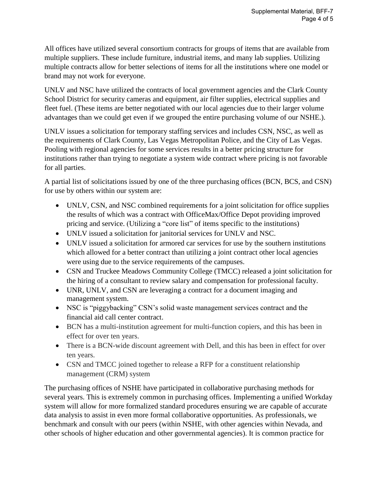All offices have utilized several consortium contracts for groups of items that are available from multiple suppliers. These include furniture, industrial items, and many lab supplies. Utilizing multiple contracts allow for better selections of items for all the institutions where one model or brand may not work for everyone.

UNLV and NSC have utilized the contracts of local government agencies and the Clark County School District for security cameras and equipment, air filter supplies, electrical supplies and fleet fuel. (These items are better negotiated with our local agencies due to their larger volume advantages than we could get even if we grouped the entire purchasing volume of our NSHE.).

UNLV issues a solicitation for temporary staffing services and includes CSN, NSC, as well as the requirements of Clark County, Las Vegas Metropolitan Police, and the City of Las Vegas. Pooling with regional agencies for some services results in a better pricing structure for institutions rather than trying to negotiate a system wide contract where pricing is not favorable for all parties.

A partial list of solicitations issued by one of the three purchasing offices (BCN, BCS, and CSN) for use by others within our system are:

- UNLV, CSN, and NSC combined requirements for a joint solicitation for office supplies the results of which was a contract with OfficeMax/Office Depot providing improved pricing and service. (Utilizing a "core list" of items specific to the institutions)
- UNLV issued a solicitation for janitorial services for UNLV and NSC.
- UNLV issued a solicitation for armored car services for use by the southern institutions which allowed for a better contract than utilizing a joint contract other local agencies were using due to the service requirements of the campuses.
- CSN and Truckee Meadows Community College (TMCC) released a joint solicitation for the hiring of a consultant to review salary and compensation for professional faculty.
- UNR, UNLV, and CSN are leveraging a contract for a document imaging and management system.
- NSC is "piggybacking" CSN's solid waste management services contract and the financial aid call center contract.
- BCN has a multi-institution agreement for multi-function copiers, and this has been in effect for over ten years.
- There is a BCN-wide discount agreement with Dell, and this has been in effect for over ten years.
- CSN and TMCC joined together to release a RFP for a constituent relationship management (CRM) system

The purchasing offices of NSHE have participated in collaborative purchasing methods for several years. This is extremely common in purchasing offices. Implementing a unified Workday system will allow for more formalized standard procedures ensuring we are capable of accurate data analysis to assist in even more formal collaborative opportunities. As professionals, we benchmark and consult with our peers (within NSHE, with other agencies within Nevada, and other schools of higher education and other governmental agencies). It is common practice for